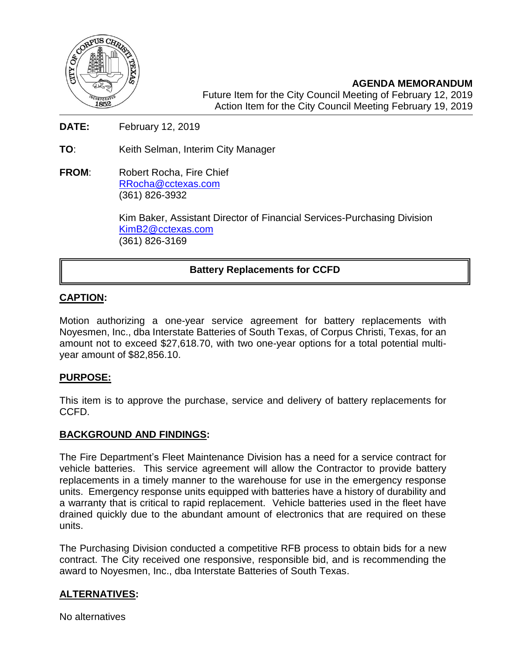

**AGENDA MEMORANDUM** Future Item for the City Council Meeting of February 12, 2019 Action Item for the City Council Meeting February 19, 2019

**DATE:** February 12, 2019

**TO**: Keith Selman, Interim City Manager

**FROM:** Robert Rocha, Fire Chief [RRocha@cctexas.com](mailto:RRocha@cctexas.com) (361) 826-3932

> Kim Baker, Assistant Director of Financial Services-Purchasing Division [KimB2@cctexas.com](mailto:KimB2@cctexas.com) (361) 826-3169

# **Battery Replacements for CCFD**

## **CAPTION:**

ĺ

Motion authorizing a one-year service agreement for battery replacements with Noyesmen, Inc., dba Interstate Batteries of South Texas, of Corpus Christi, Texas, for an amount not to exceed \$27,618.70, with two one-year options for a total potential multiyear amount of \$82,856.10.

## **PURPOSE:**

This item is to approve the purchase, service and delivery of battery replacements for CCFD.

#### **BACKGROUND AND FINDINGS:**

The Fire Department's Fleet Maintenance Division has a need for a service contract for vehicle batteries. This service agreement will allow the Contractor to provide battery replacements in a timely manner to the warehouse for use in the emergency response units. Emergency response units equipped with batteries have a history of durability and a warranty that is critical to rapid replacement. Vehicle batteries used in the fleet have drained quickly due to the abundant amount of electronics that are required on these units.

The Purchasing Division conducted a competitive RFB process to obtain bids for a new contract. The City received one responsive, responsible bid, and is recommending the award to Noyesmen, Inc., dba Interstate Batteries of South Texas.

# **ALTERNATIVES:**

No alternatives